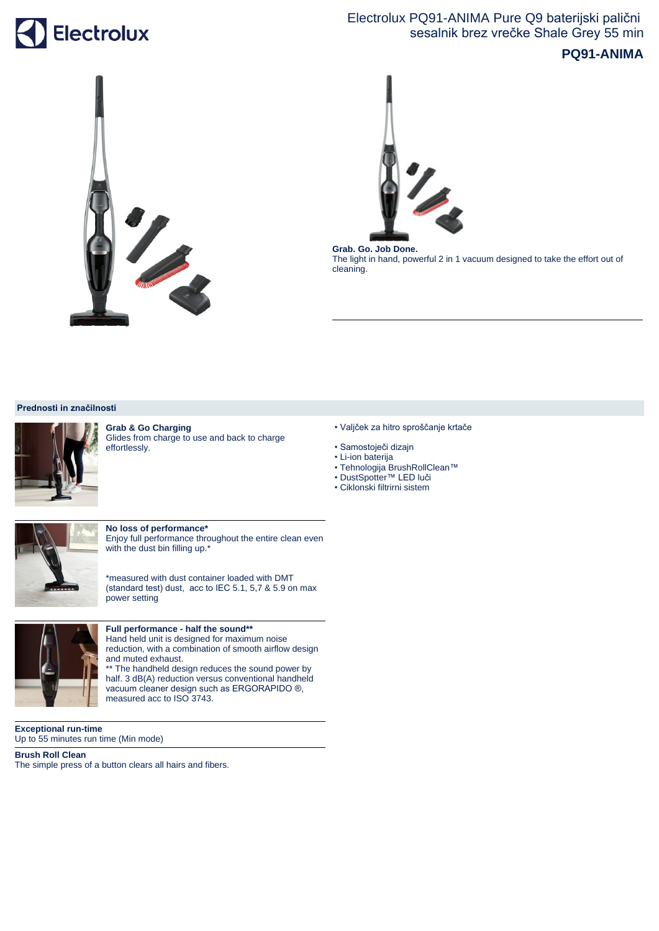# Electrolux

## Electrolux PQ91-ANIMA Pure Q9 baterijski palični sesalnik brez vrečke Shale Grey 55 min

### **PQ91-ANIMA**





**Grab. Go. Job Done.**  The light in hand, powerful 2 in 1 vacuum designed to take the effort out of cleaning.

#### **Prednosti in značilnosti**



**Grab & Go Charging** Glides from charge to use and back to charge effortlessly.

- Valjček za hitro sproščanje krtače
- Samostoječi dizajn
- Li-ion baterija
- Tehnologija BrushRollClean™
- DustSpotter™ LED luči
- Ciklonski filtrirni sistem



**No loss of performance\***

Enjoy full performance throughout the entire clean even with the dust bin filling up.\*

\*measured with dust container loaded with DMT (standard test) dust, acc to IEC 5.1, 5,7 & 5.9 on max power setting



#### **Full performance - half the sound\*\***

Hand held unit is designed for maximum noise reduction, with a combination of smooth airflow design and muted exhaust.

\*\* The handheld design reduces the sound power by half. 3 dB(A) reduction versus conventional handheld vacuum cleaner design such as ERGORAPIDO ®, measured acc to ISO 3743.

**Exceptional run-time**  Up to 55 minutes run time (Min mode)

**Brush Roll Clean** The simple press of a button clears all hairs and fibers.